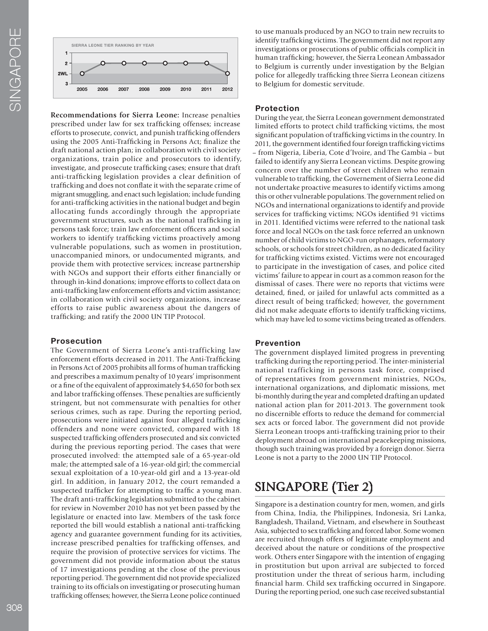

**Recommendations for Sierra Leone:** Increase penalties prescribed under law for sex traffcking offenses; increase efforts to prosecute, convict, and punish traffcking offenders using the 2005 Anti-Traffcking in Persons Act; fnalize the draft national action plan; in collaboration with civil society organizations, train police and prosecutors to identify, investigate, and prosecute traffcking cases; ensure that draft anti-traffcking legislation provides a clear defnition of traffcking and does not confate it with the separate crime of migrant smuggling, and enact such legislation; include funding for anti-traffcking activities in the national budget and begin allocating funds accordingly through the appropriate government structures, such as the national traffcking in persons task force; train law enforcement offcers and social workers to identify traffcking victims proactively among vulnerable populations, such as women in prostitution, unaccompanied minors, or undocumented migrants, and provide them with protective services; increase partnership with NGOs and support their efforts either fnancially or through in-kind donations; improve efforts to collect data on anti-traffcking law enforcement efforts and victim assistance; in collaboration with civil society organizations, increase efforts to raise public awareness about the dangers of traffcking; and ratify the 2000 UN TIP Protocol.

## **Prosecution**

The Government of Sierra Leone's anti-trafficking law enforcement efforts decreased in 2011. The Anti-Traffcking in Persons Act of 2005 prohibits all forms of human traffcking and prescribes a maximum penalty of 10 years' imprisonment or a fne of the equivalent of approximately \$4,650 for both sex and labor traffcking offenses. These penalties are suffciently stringent, but not commensurate with penalties for other serious crimes, such as rape. During the reporting period, prosecutions were initiated against four alleged traffcking offenders and none were convicted, compared with 18 suspected traffcking offenders prosecuted and six convicted during the previous reporting period. The cases that were prosecuted involved: the attempted sale of a 65-year-old male; the attempted sale of a 16-year-old girl; the commercial sexual exploitation of a 10-year-old girl and a 13-year-old girl. In addition, in January 2012, the court remanded a suspected trafficker for attempting to traffic a young man. The draft anti-traffcking legislation submitted to the cabinet for review in November 2010 has not yet been passed by the legislature or enacted into law. Members of the task force reported the bill would establish a national anti-traffcking agency and guarantee government funding for its activities, increase prescribed penalties for traffcking offenses, and require the provision of protective services for victims. The government did not provide information about the status of 17 investigations pending at the close of the previous reporting period. The government did not provide specialized training to its offcials on investigating or prosecuting human traffcking offenses; however, the Sierra Leone police continued

to use manuals produced by an NGO to train new recruits to identify trafficking victims. The government did not report any investigations or prosecutions of public offcials complicit in human traffcking; however, the Sierra Leonean Ambassador to Belgium is currently under investigation by the Belgian police for allegedly traffcking three Sierra Leonean citizens to Belgium for domestic servitude.

## **Protection**

During the year, the Sierra Leonean government demonstrated limited efforts to protect child traffcking victims, the most signifcant population of traffcking victims in the country. In 2011, the government identifed four foreign traffcking victims – from Nigeria, Liberia, Cote d'Ivoire, and The Gambia – but failed to identify any Sierra Leonean victims. Despite growing concern over the number of street children who remain vulnerable to traffcking, the Governement of Sierra Leone did not undertake proactive measures to identify victims among this or other vulnerable populations. The government relied on NGOs and international organizations to identify and provide services for traffcking victims; NGOs identifed 91 victims in 2011. Identifed victims were referred to the national task force and local NGOs on the task force referred an unknown number of child victims to NGO-run orphanages, reformatory schools, or schools for street children, as no dedicated facility for traffcking victims existed. Victims were not encouraged to participate in the investigation of cases, and police cited victims' failure to appear in court as a common reason for the dismissal of cases. There were no reports that victims were detained, fned, or jailed for unlawful acts committed as a direct result of being traffcked; however, the government did not make adequate efforts to identify traffcking victims, which may have led to some victims being treated as offenders.

## **Prevention**

The government displayed limited progress in preventing traffcking during the reporting period. The inter-ministerial national trafficking in persons task force, comprised of representatives from government ministries, NGOs, international organizations, and diplomatic missions, met bi-monthly during the year and completed drafting an updated national action plan for 2011-2013. The government took no discernible efforts to reduce the demand for commercial sex acts or forced labor. The government did not provide Sierra Leonean troops anti-traffcking training prior to their deployment abroad on international peacekeeping missions, though such training was provided by a foreign donor. Sierra Leone is not a party to the 2000 UN TIP Protocol.

# SINGAPORE (Tier 2)

Singapore is a destination country for men, women, and girls from China, India, the Philippines, Indonesia, Sri Lanka, Bangladesh, Thailand, Vietnam, and elsewhere in Southeast Asia, subjected to sex traffcking and forced labor. Some women are recruited through offers of legitimate employment and deceived about the nature or conditions of the prospective work. Others enter Singapore with the intention of engaging in prostitution but upon arrival are subjected to forced prostitution under the threat of serious harm, including fnancial harm. Child sex traffcking occurred in Singapore. During the reporting period, one such case received substantial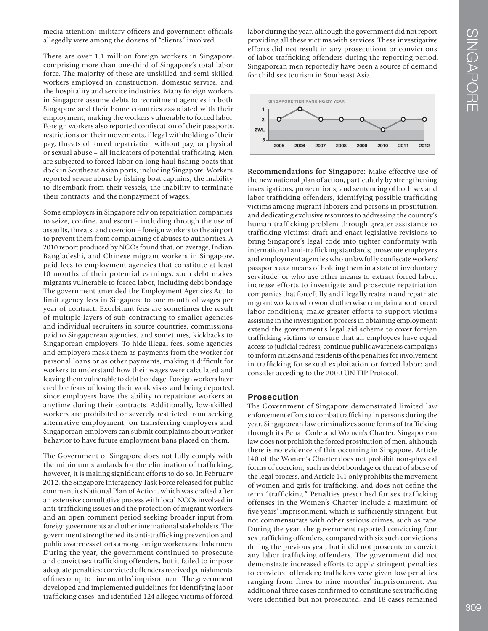media attention; military officers and government officials allegedly were among the dozens of "clients" involved.

There are over 1.1 million foreign workers in Singapore, comprising more than one-third of Singapore's total labor force. The majority of these are unskilled and semi-skilled workers employed in construction, domestic service, and the hospitality and service industries. Many foreign workers in Singapore assume debts to recruitment agencies in both Singapore and their home countries associated with their employment, making the workers vulnerable to forced labor. Foreign workers also reported confscation of their passports, restrictions on their movements, illegal withholding of their pay, threats of forced repatriation without pay, or physical or sexual abuse – all indicators of potential traffcking. Men are subjected to forced labor on long-haul fshing boats that dock in Southeast Asian ports, including Singapore. Workers reported severe abuse by fshing boat captains, the inability to disembark from their vessels, the inability to terminate their contracts, and the nonpayment of wages.

Some employers in Singapore rely on repatriation companies to seize, confne, and escort – including through the use of assaults, threats, and coercion – foreign workers to the airport to prevent them from complaining of abuses to authorities. A 2010 report produced by NGOs found that, on average, Indian, Bangladeshi, and Chinese migrant workers in Singapore, paid fees to employment agencies that constitute at least 10 months of their potential earnings; such debt makes migrants vulnerable to forced labor, including debt bondage. The government amended the Employment Agencies Act to limit agency fees in Singapore to one month of wages per year of contract. Exorbitant fees are sometimes the result of multiple layers of sub-contracting to smaller agencies and individual recruiters in source countries, commissions paid to Singaporean agencies, and sometimes, kickbacks to Singaporean employers. To hide illegal fees, some agencies and employers mask them as payments from the worker for personal loans or as other payments, making it diffcult for workers to understand how their wages were calculated and leaving them vulnerable to debt bondage. Foreign workers have credible fears of losing their work visas and being deported, since employers have the ability to repatriate workers at anytime during their contracts. Additionally, low-skilled workers are prohibited or severely restricted from seeking alternative employment, on transferring employers and Singaporean employers can submit complaints about worker behavior to have future employment bans placed on them.

The Government of Singapore does not fully comply with the minimum standards for the elimination of traffcking; however, it is making signifcant efforts to do so. In February 2012, the Singapore Interagency Task Force released for public comment its National Plan of Action, which was crafted after an extensive consultative process with local NGOs involved in anti-traffcking issues and the protection of migrant workers and an open comment period seeking broader input from foreign governments and other international stakeholders. The government strengthened its anti-traffcking prevention and public awareness efforts among foreign workers and fshermen. During the year, the government continued to prosecute and convict sex traffcking offenders, but it failed to impose adequate penalties; convicted offenders received punishments of fnes or up to nine months' imprisonment. The government developed and implemented guidelines for identifying labor traffcking cases, and identifed 124 alleged victims of forced

labor during the year, although the government did not report providing all these victims with services. These investigative efforts did not result in any prosecutions or convictions of labor traffcking offenders during the reporting period. Singaporean men reportedly have been a source of demand for child sex tourism in Southeast Asia.



**Recommendations for Singapore:** Make effective use of the new national plan of action, particularly by strengthening investigations, prosecutions, and sentencing of both sex and labor trafficking offenders, identifying possible trafficking victims among migrant laborers and persons in prostitution, and dedicating exclusive resources to addressing the country's human traffcking problem through greater assistance to traffcking victims; draft and enact legislative revisions to bring Singapore's legal code into tighter conformity with international anti-traffcking standards; prosecute employers and employment agencies who unlawfully confscate workers' passports as a means of holding them in a state of involuntary servitude, or who use other means to extract forced labor; increase efforts to investigate and prosecute repatriation companies that forcefully and illegally restrain and repatriate migrant workers who would otherwise complain about forced labor conditions; make greater efforts to support victims assisting in the investigation process in obtaining employment; extend the government's legal aid scheme to cover foreign traffcking victims to ensure that all employees have equal access to judicial redress; continue public awareness campaigns to inform citizens and residents of the penalties for involvement in traffcking for sexual exploitation or forced labor; and consider acceding to the 2000 UN TIP Protocol.

#### **Prosecution**

The Government of Singapore demonstrated limited law enforcement efforts to combat traffcking in persons during the year. Singaporean law criminalizes some forms of traffcking through its Penal Code and Women's Charter. Singaporean law does not prohibit the forced prostitution of men, although there is no evidence of this occurring in Singapore. Article 140 of the Women's Charter does not prohibit non-physical forms of coercion, such as debt bondage or threat of abuse of the legal process, and Article 141 only prohibits the movement of women and girls for traffcking, and does not defne the term "traffcking." Penalties prescribed for sex traffcking offenses in the Women's Charter include a maximum of fve years' imprisonment, which is suffciently stringent, but not commensurate with other serious crimes, such as rape. During the year, the government reported convicting four sex trafficking offenders, compared with six such convictions during the previous year, but it did not prosecute or convict any labor traffcking offenders. The government did not demonstrate increased efforts to apply stringent penalties to convicted offenders; traffickers were given low penalties ranging from fines to nine months' imprisonment. An additional three cases confrmed to constitute sex traffcking were identifed but not prosecuted, and 18 cases remained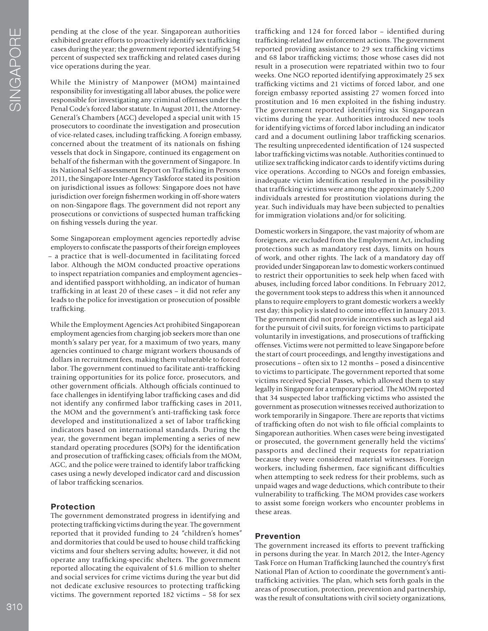pending at the close of the year. Singaporean authorities exhibited greater efforts to proactively identify sex traffcking cases during the year; the government reported identifying 54 percent of suspected sex traffcking and related cases during vice operations during the year.

While the Ministry of Manpower (MOM) maintained responsibility for investigating all labor abuses, the police were responsible for investigating any criminal offenses under the Penal Code's forced labor statute. In August 2011, the Attorney-General's Chambers (AGC) developed a special unit with 15 prosecutors to coordinate the investigation and prosecution of vice-related cases, including traffcking. A foreign embassy, concerned about the treatment of its nationals on fshing vessels that dock in Singapore, continued its engagement on behalf of the fsherman with the government of Singapore. In its National Self-assessment Report on Traffcking in Persons 2011, the Singapore Inter-Agency Taskforce stated its position on jurisdictional issues as follows: Singapore does not have jurisdiction over foreign fshermen working in off-shore waters on non-Singapore fags. The government did not report any prosecutions or convictions of suspected human traffcking on fshing vessels during the year.

Some Singaporean employment agencies reportedly advise employers to confscate the passports of their foreign employees – a practice that is well-documented in facilitating forced labor. Although the MOM conducted proactive operations to inspect repatriation companies and employment agencies– and identifed passport withholding, an indicator of human traffcking in at least 20 of these cases – it did not refer any leads to the police for investigation or prosecution of possible trafficking.

While the Employment Agencies Act prohibited Singaporean employment agencies from charging job seekers more than one month's salary per year, for a maximum of two years, many agencies continued to charge migrant workers thousands of dollars in recruitment fees, making them vulnerable to forced labor. The government continued to facilitate anti-traffcking training opportunities for its police force, prosecutors, and other government offcials. Although offcials continued to face challenges in identifying labor traffcking cases and did not identify any confrmed labor traffcking cases in 2011, the MOM and the government's anti-traffcking task force developed and institutionalized a set of labor trafficking indicators based on international standards. During the year, the government began implementing a series of new standard operating procedures (SOPs) for the identifcation and prosecution of trafficking cases; officials from the MOM, AGC, and the police were trained to identify labor traffcking cases using a newly developed indicator card and discussion of labor traffcking scenarios.

## **Protection**

The government demonstrated progress in identifying and protecting traffcking victims during the year. The government reported that it provided funding to 24 "children's homes" and dormitories that could be used to house child traffcking victims and four shelters serving adults; however, it did not operate any traffcking-specifc shelters. The government reported allocating the equivalent of \$1.6 million to shelter and social services for crime victims during the year but did not dedicate exclusive resources to protecting traffcking victims. The government reported 182 victims – 58 for sex

traffcking and 124 for forced labor – identifed during traffcking-related law enforcement actions. The government reported providing assistance to 29 sex traffcking victims and 68 labor traffcking victims; those whose cases did not result in a prosecution were repatriated within two to four weeks. One NGO reported identifying approximately 25 sex traffcking victims and 21 victims of forced labor, and one foreign embassy reported assisting 27 women forced into prostitution and 16 men exploited in the fshing industry. The government reported identifying six Singaporean victims during the year. Authorities introduced new tools for identifying victims of forced labor including an indicator card and a document outlining labor traffcking scenarios. The resulting unprecedented identifcation of 124 suspected labor traffcking victims was notable. Authorities continued to utilize sex traffcking indicator cards to identify victims during vice operations. According to NGOs and foreign embassies, inadequate victim identifcation resulted in the possibility that traffcking victims were among the approximately 5,200 individuals arrested for prostitution violations during the year. Such individuals may have been subjected to penalties for immigration violations and/or for soliciting.

Domestic workers in Singapore, the vast majority of whom are foreigners, are excluded from the Employment Act, including protections such as mandatory rest days, limits on hours of work, and other rights. The lack of a mandatory day off provided under Singaporean law to domestic workers continued to restrict their opportunities to seek help when faced with abuses, including forced labor conditions. In February 2012, the government took steps to address this when it announced plans to require employers to grant domestic workers a weekly rest day; this policy is slated to come into effect in January 2013. The government did not provide incentives such as legal aid for the pursuit of civil suits, for foreign victims to participate voluntarily in investigations, and prosecutions of traffcking offenses. Victims were not permitted to leave Singapore before the start of court proceedings, and lengthy investigations and prosecutions – often six to 12 months – posed a disincentive to victims to participate. The government reported that some victims received Special Passes, which allowed them to stay legally in Singapore for a temporary period. The MOM reported that 34 suspected labor traffcking victims who assisted the government as prosecution witnesses received authorization to work temporarily in Singapore. There are reports that victims of traffcking often do not wish to fle offcial complaints to Singaporean authorities. When cases were being investigated or prosecuted, the government generally held the victims' passports and declined their requests for repatriation because they were considered material witnesses. Foreign workers, including fshermen, face signifcant diffculties when attempting to seek redress for their problems, such as unpaid wages and wage deductions, which contribute to their vulnerability to traffcking. The MOM provides case workers to assist some foreign workers who encounter problems in these areas.

#### **Prevention**

The government increased its efforts to prevent trafficking in persons during the year. In March 2012, the Inter-Agency Task Force on Human Traffcking launched the country's frst National Plan of Action to coordinate the government's antitraffcking activities. The plan, which sets forth goals in the areas of prosecution, protection, prevention and partnership, was the result of consultations with civil society organizations,